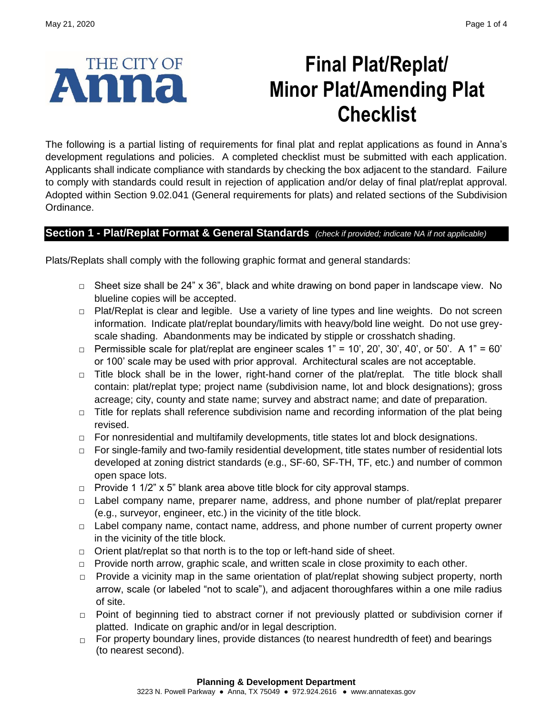

# **Final Plat/Replat/ Minor Plat/Amending Plat Checklist**

The following is a partial listing of requirements for final plat and replat applications as found in Anna's development regulations and policies. A completed checklist must be submitted with each application. Applicants shall indicate compliance with standards by checking the box adjacent to the standard. Failure to comply with standards could result in rejection of application and/or delay of final plat/replat approval. Adopted within Section 9.02.041 (General requirements for plats) and related sections of the Subdivision Ordinance.

# **Section 1 - Plat/Replat Format & General Standards** *(check if provided; indicate NA if not applicable)*

Plats/Replats shall comply with the following graphic format and general standards:

- **□** Sheet size shall be 24" x 36", black and white drawing on bond paper in landscape view. No blueline copies will be accepted.
- **□** Plat/Replat is clear and legible. Use a variety of line types and line weights. Do not screen information. Indicate plat/replat boundary/limits with heavy/bold line weight. Do not use greyscale shading. Abandonments may be indicated by stipple or crosshatch shading.
- **□** Permissible scale for plat/replat are engineer scales 1" = 10', 20', 30', 40', or 50'. A 1" = 60' or 100' scale may be used with prior approval. Architectural scales are not acceptable.
- **□** Title block shall be in the lower, right-hand corner of the plat/replat. The title block shall contain: plat/replat type; project name (subdivision name, lot and block designations); gross acreage; city, county and state name; survey and abstract name; and date of preparation.
- **□** Title for replats shall reference subdivision name and recording information of the plat being revised.
- **□** For nonresidential and multifamily developments, title states lot and block designations.
- **□** For single-family and two-family residential development, title states number of residential lots developed at zoning district standards (e.g., SF-60, SF-TH, TF, etc.) and number of common open space lots.
- **□** Provide 1 1/2" x 5" blank area above title block for city approval stamps.
- **□** Label company name, preparer name, address, and phone number of plat/replat preparer (e.g., surveyor, engineer, etc.) in the vicinity of the title block.
- **□** Label company name, contact name, address, and phone number of current property owner in the vicinity of the title block.
- **□** Orient plat/replat so that north is to the top or left-hand side of sheet.
- **□** Provide north arrow, graphic scale, and written scale in close proximity to each other.
- **□** Provide a vicinity map in the same orientation of plat/replat showing subject property, north arrow, scale (or labeled "not to scale"), and adjacent thoroughfares within a one mile radius of site.
- **□** Point of beginning tied to abstract corner if not previously platted or subdivision corner if platted. Indicate on graphic and/or in legal description.
- **□** For property boundary lines, provide distances (to nearest hundredth of feet) and bearings (to nearest second).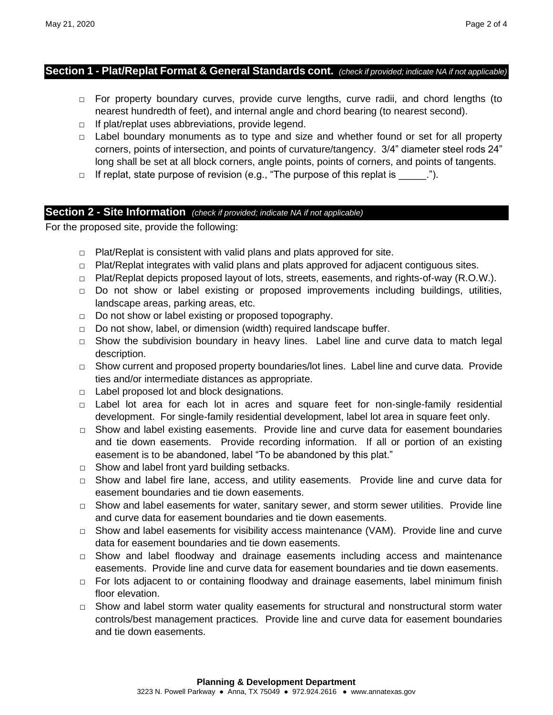#### **Section 1 - Plat/Replat Format & General Standards cont.** *(check if provided; indicate NA if not applicable)*

- **□** For property boundary curves, provide curve lengths, curve radii, and chord lengths (to nearest hundredth of feet), and internal angle and chord bearing (to nearest second).
- **□** If plat/replat uses abbreviations, provide legend.
- **□** Label boundary monuments as to type and size and whether found or set for all property corners, points of intersection, and points of curvature/tangency. 3/4" diameter steel rods 24" long shall be set at all block corners, angle points, points of corners, and points of tangents.
- **□** If replat, state purpose of revision (e.g., "The purpose of this replat is \_\_\_\_\_.").

### **Section 2 - Site Information** *(check if provided; indicate NA if not applicable)*

For the proposed site, provide the following:

- **□** Plat/Replat is consistent with valid plans and plats approved for site.
- **□** Plat/Replat integrates with valid plans and plats approved for adjacent contiguous sites.
- **□** Plat/Replat depicts proposed layout of lots, streets, easements, and rights-of-way (R.O.W.).
- **□** Do not show or label existing or proposed improvements including buildings, utilities, landscape areas, parking areas, etc.
- **□** Do not show or label existing or proposed topography.
- **□** Do not show, label, or dimension (width) required landscape buffer.
- **□** Show the subdivision boundary in heavy lines. Label line and curve data to match legal description.
- □ Show current and proposed property boundaries/lot lines. Label line and curve data. Provide ties and/or intermediate distances as appropriate.
- **□** Label proposed lot and block designations.
- **□** Label lot area for each lot in acres and square feet for non-single-family residential development. For single-family residential development, label lot area in square feet only.
- **□** Show and label existing easements. Provide line and curve data for easement boundaries and tie down easements. Provide recording information. If all or portion of an existing easement is to be abandoned, label "To be abandoned by this plat."
- **□** Show and label front yard building setbacks.
- **□** Show and label fire lane, access, and utility easements. Provide line and curve data for easement boundaries and tie down easements.
- **□** Show and label easements for water, sanitary sewer, and storm sewer utilities. Provide line and curve data for easement boundaries and tie down easements.
- **□** Show and label easements for visibility access maintenance (VAM). Provide line and curve data for easement boundaries and tie down easements.
- **□** Show and label floodway and drainage easements including access and maintenance easements. Provide line and curve data for easement boundaries and tie down easements.
- **□** For lots adjacent to or containing floodway and drainage easements, label minimum finish floor elevation.
- **□** Show and label storm water quality easements for structural and nonstructural storm water controls/best management practices. Provide line and curve data for easement boundaries and tie down easements.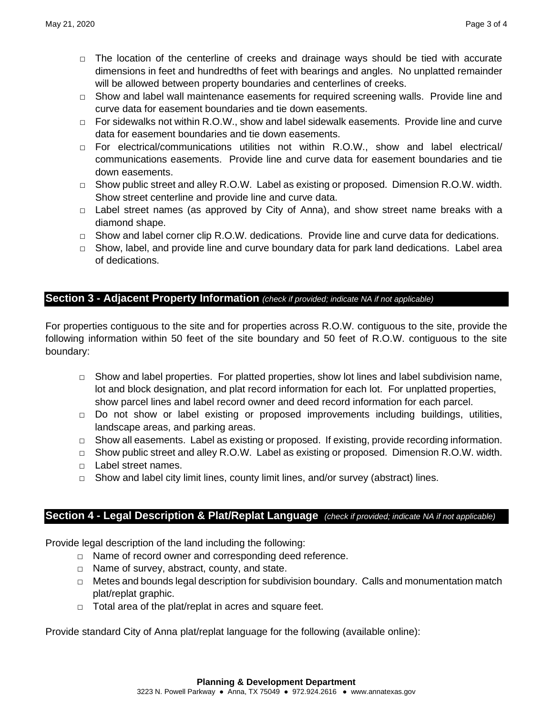- **□** The location of the centerline of creeks and drainage ways should be tied with accurate dimensions in feet and hundredths of feet with bearings and angles. No unplatted remainder will be allowed between property boundaries and centerlines of creeks.
- **□** Show and label wall maintenance easements for required screening walls. Provide line and curve data for easement boundaries and tie down easements.
- **□** For sidewalks not within R.O.W., show and label sidewalk easements. Provide line and curve data for easement boundaries and tie down easements.
- **□** For electrical/communications utilities not within R.O.W., show and label electrical/ communications easements. Provide line and curve data for easement boundaries and tie down easements.
- **□** Show public street and alley R.O.W. Label as existing or proposed. Dimension R.O.W. width. Show street centerline and provide line and curve data.
- **□** Label street names (as approved by City of Anna), and show street name breaks with a diamond shape.
- **□** Show and label corner clip R.O.W. dedications. Provide line and curve data for dedications.
- **□** Show, label, and provide line and curve boundary data for park land dedications. Label area of dedications.

### **Section 3 - Adjacent Property Information** *(check if provided; indicate NA if not applicable)*

For properties contiguous to the site and for properties across R.O.W. contiguous to the site, provide the following information within 50 feet of the site boundary and 50 feet of R.O.W. contiguous to the site boundary:

- **□** Show and label properties. For platted properties, show lot lines and label subdivision name, lot and block designation, and plat record information for each lot. For unplatted properties, show parcel lines and label record owner and deed record information for each parcel.
- **□** Do not show or label existing or proposed improvements including buildings, utilities, landscape areas, and parking areas.
- **□** Show all easements. Label as existing or proposed. If existing, provide recording information.
- **□** Show public street and alley R.O.W. Label as existing or proposed. Dimension R.O.W. width.
- **□** Label street names.
- **□** Show and label city limit lines, county limit lines, and/or survey (abstract) lines.

# **Section 4 - Legal Description & Plat/Replat Language** *(check if provided; indicate NA if not applicable)*

Provide legal description of the land including the following:

- **□** Name of record owner and corresponding deed reference.
- **□** Name of survey, abstract, county, and state.
- **□** Metes and bounds legal description for subdivision boundary. Calls and monumentation match plat/replat graphic.
- **□** Total area of the plat/replat in acres and square feet.

Provide standard City of Anna plat/replat language for the following (available online):